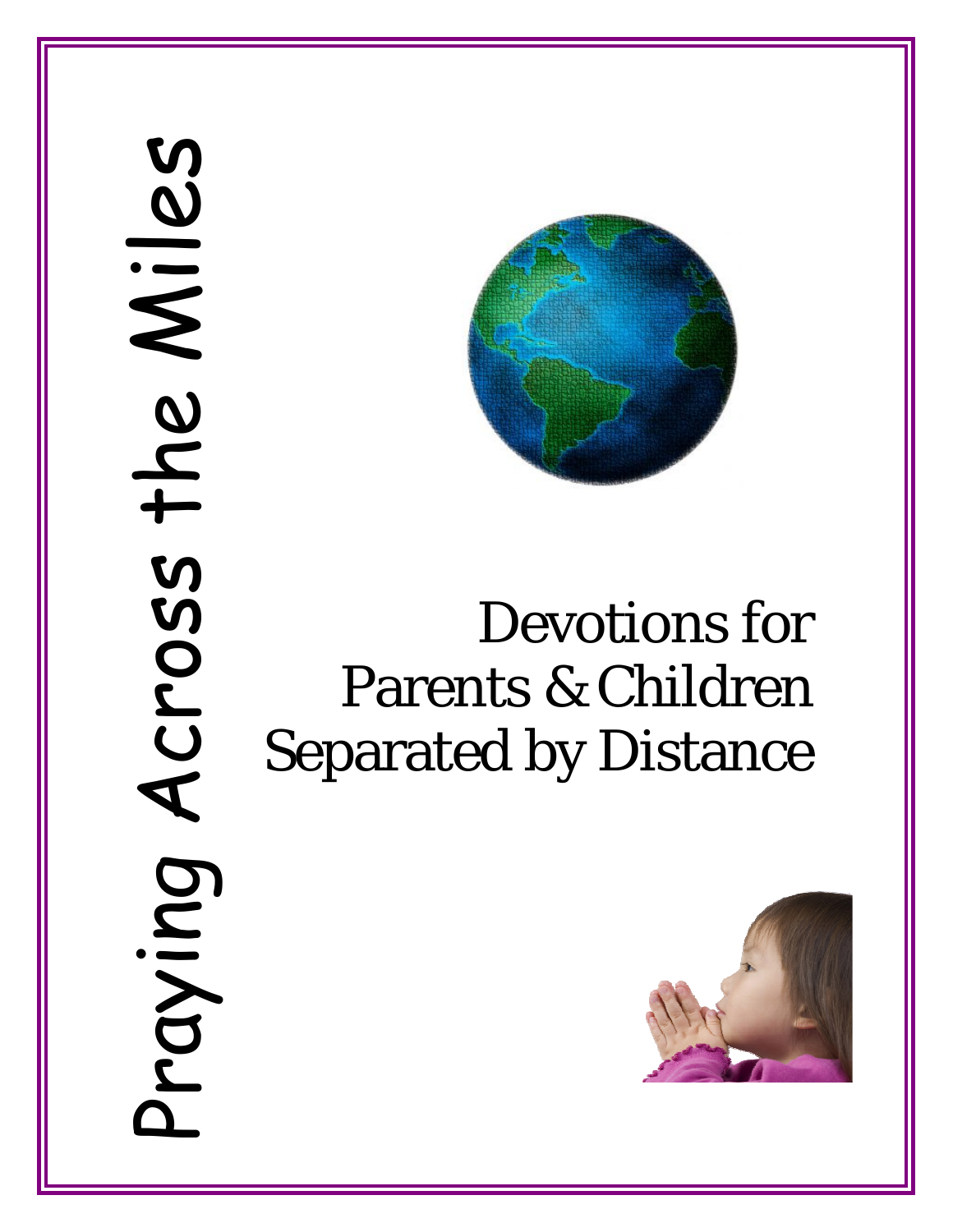# Praying Across the Miles Praying Across the Miles



# Devotions for Parents & Children Separated by Distance

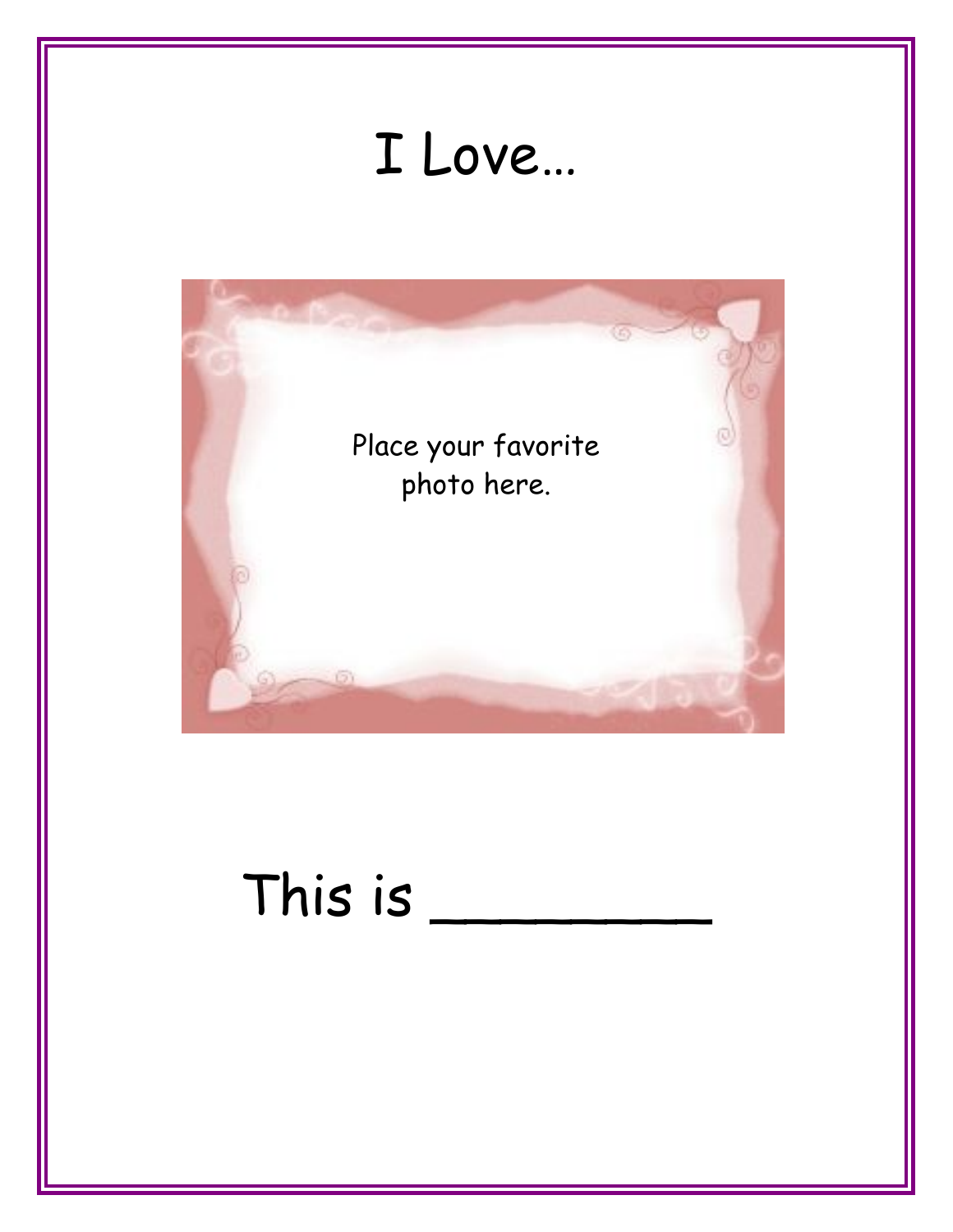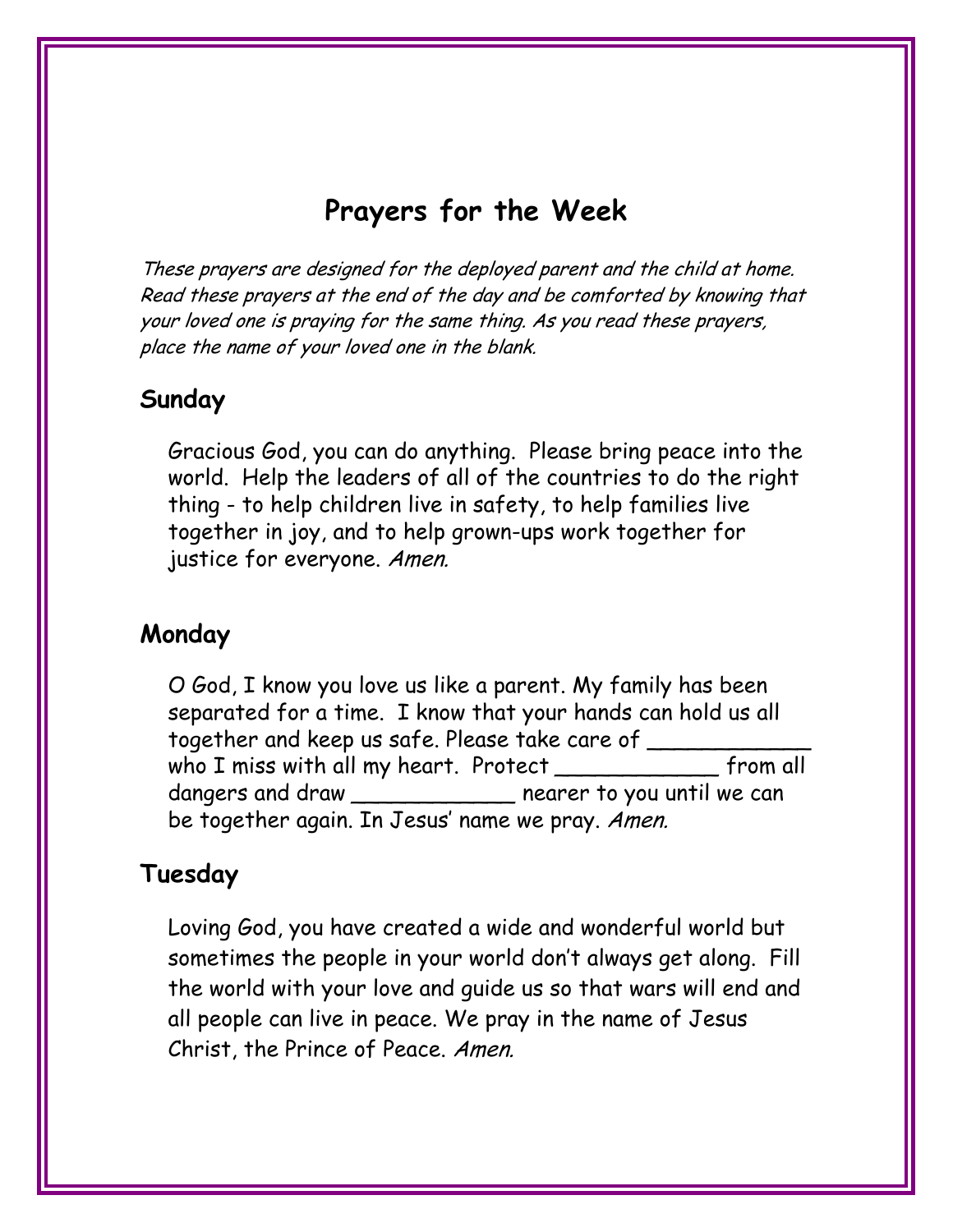# **Prayers for the Week**

These prayers are designed for the deployed parent and the child at home. Read these prayers at the end of the day and be comforted by knowing that your loved one is praying for the same thing. As you read these prayers, place the name of your loved one in the blank.

#### **Sunday**

Gracious God, you can do anything. Please bring peace into the world. Help the leaders of all of the countries to do the right thing - to help children live in safety, to help families live together in joy, and to help grown-ups work together for justice for everyone. Amen.

#### **Monday**

O God, I know you love us like a parent. My family has been separated for a time. I know that your hands can hold us all together and keep us safe. Please take care of \_\_\_\_\_\_\_\_\_\_\_\_ who I miss with all my heart. Protect \_\_\_\_\_\_\_\_\_\_\_\_\_\_\_ from all dangers and draw \_\_\_\_\_\_\_\_\_\_\_\_\_ nearer to you until we can be together again. In Jesus' name we pray. Amen.

#### **Tuesday**

Loving God, you have created a wide and wonderful world but sometimes the people in your world don't always get along. Fill the world with your love and guide us so that wars will end and all people can live in peace. We pray in the name of Jesus Christ, the Prince of Peace. Amen.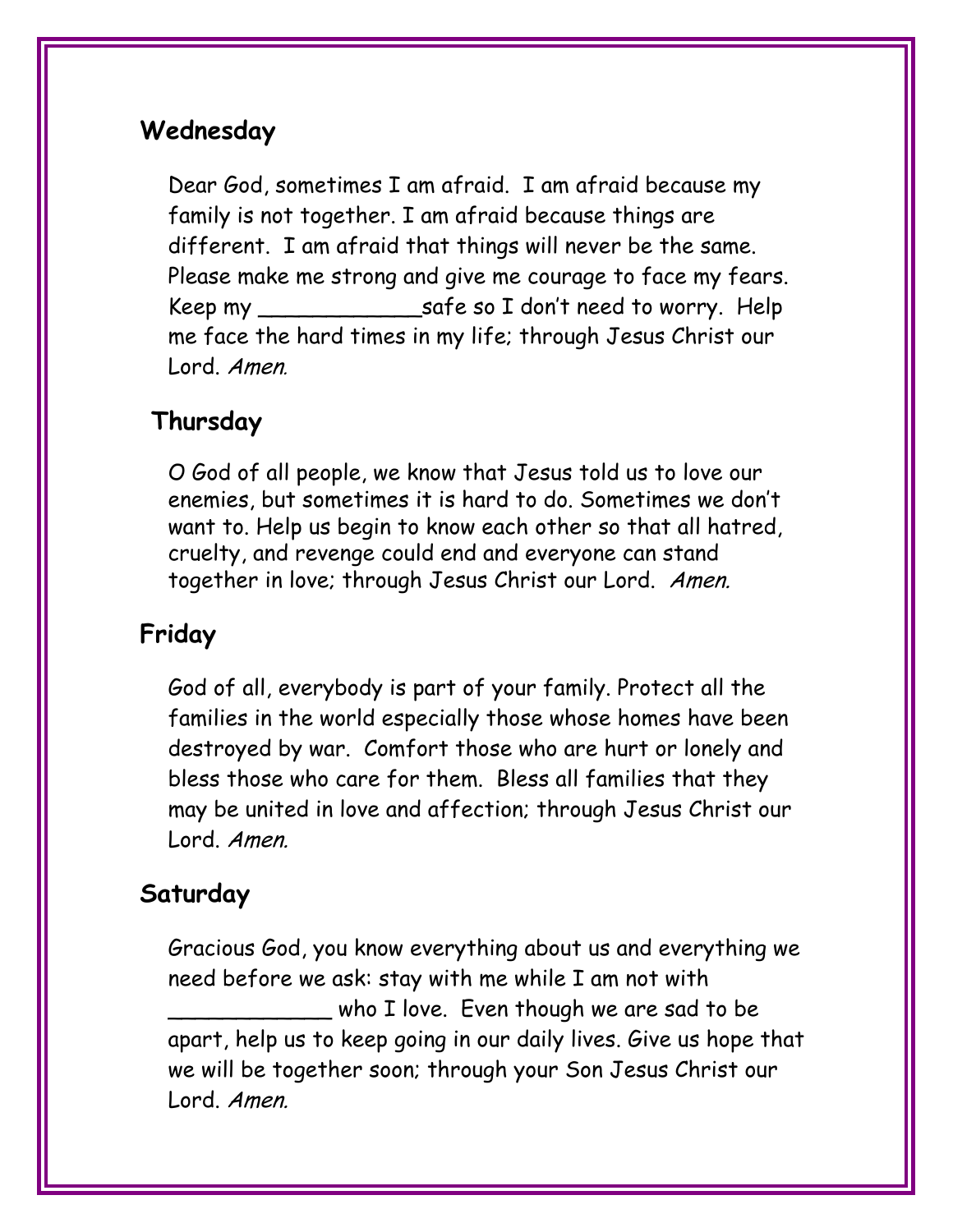## **Wednesday**

Dear God, sometimes I am afraid. I am afraid because my family is not together. I am afraid because things are different. I am afraid that things will never be the same. Please make me strong and give me courage to face my fears. Keep my \_\_\_\_\_\_\_\_\_\_\_\_safe so I don't need to worry. Help me face the hard times in my life; through Jesus Christ our Lord. Amen.

# **Thursday**

O God of all people, we know that Jesus told us to love our enemies, but sometimes it is hard to do. Sometimes we don't want to. Help us begin to know each other so that all hatred, cruelty, and revenge could end and everyone can stand together in love; through Jesus Christ our Lord. Amen.

# **Friday**

God of all, everybody is part of your family. Protect all the families in the world especially those whose homes have been destroyed by war. Comfort those who are hurt or lonely and bless those who care for them. Bless all families that they may be united in love and affection; through Jesus Christ our Lord. Amen.

# **Saturday**

Gracious God, you know everything about us and everything we need before we ask: stay with me while I am not with who I love. Even though we are sad to be apart, help us to keep going in our daily lives. Give us hope that we will be together soon; through your Son Jesus Christ our Lord. Amen.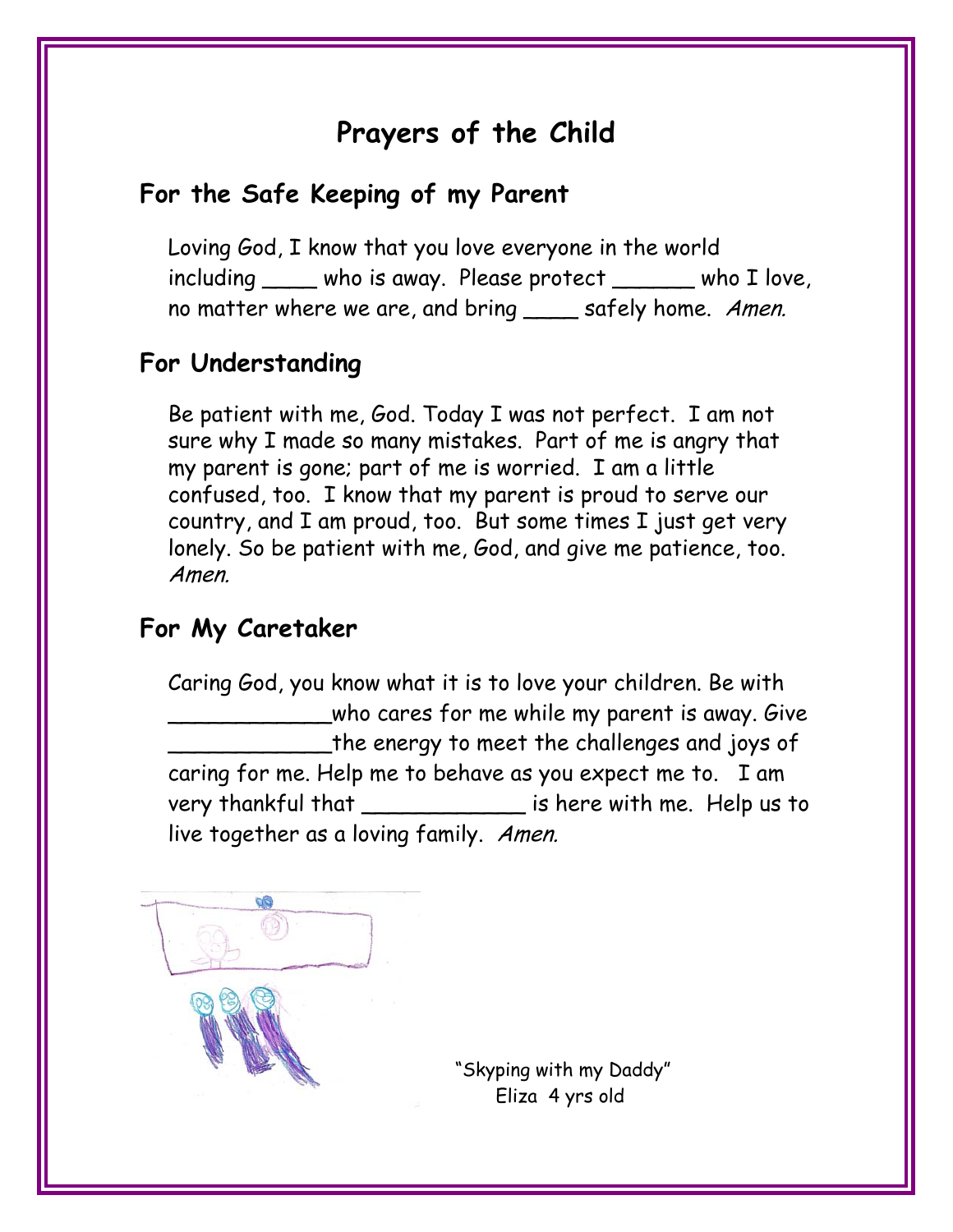# **Prayers of the Child**

# **For the Safe Keeping of my Parent**

Loving God, I know that you love everyone in the world including \_\_\_\_ who is away. Please protect \_\_\_\_\_\_ who I love, no matter where we are, and bring \_\_\_\_ safely home. Amen.

## **For Understanding**

Be patient with me, God. Today I was not perfect. I am not sure why I made so many mistakes. Part of me is angry that my parent is gone; part of me is worried. I am a little confused, too. I know that my parent is proud to serve our country, and I am proud, too. But some times I just get very lonely. So be patient with me, God, and give me patience, too. Amen.

#### **For My Caretaker**

Caring God, you know what it is to love your children. Be with who cares for me while my parent is away. Give the energy to meet the challenges and joys of caring for me. Help me to behave as you expect me to. I am very thankful that The state of the state of the very thankful that live together as a loving family. Amen.



 "Skyping with my Daddy" Eliza 4 yrs old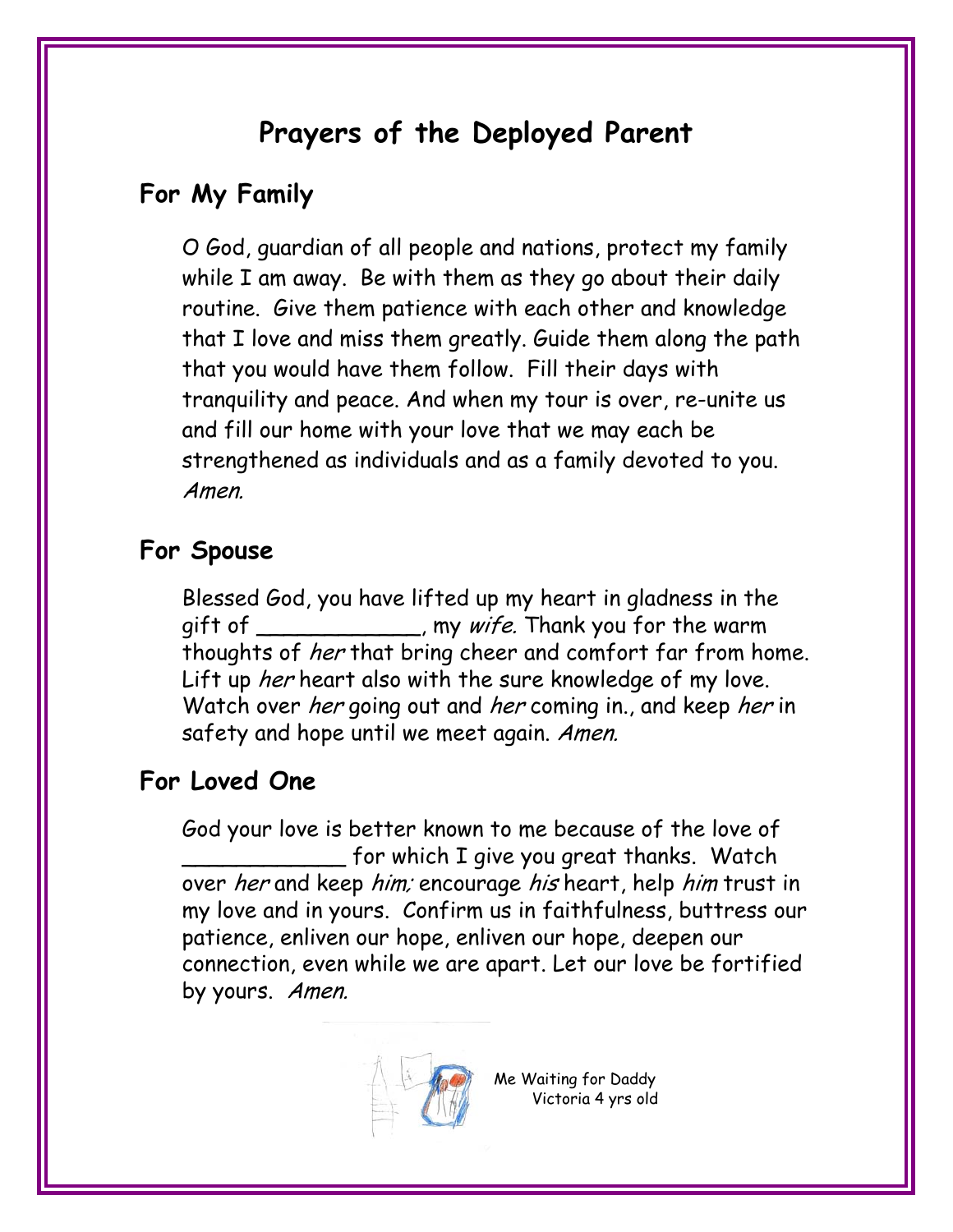# **Prayers of the Deployed Parent**

# **For My Family**

O God, guardian of all people and nations, protect my family while I am away. Be with them as they go about their daily routine. Give them patience with each other and knowledge that I love and miss them greatly. Guide them along the path that you would have them follow. Fill their days with tranquility and peace. And when my tour is over, re-unite us and fill our home with your love that we may each be strengthened as individuals and as a family devoted to you. Amen.

#### **For Spouse**

Blessed God, you have lifted up my heart in gladness in the gift of \_\_\_\_\_\_\_\_\_\_\_\_\_, my *wife*. Thank you for the warm thoughts of *her* that bring cheer and comfort far from home. Lift up *her* heart also with the sure knowledge of my love. Watch over *her* going out and *her* coming in., and keep *her* in safety and hope until we meet again. Amen.

# **For Loved One**

God your love is better known to me because of the love of \_\_\_\_\_\_\_\_\_\_\_\_ for which I give you great thanks. Watch over her and keep him; encourage his heart, help him trust in my love and in yours. Confirm us in faithfulness, buttress our patience, enliven our hope, enliven our hope, deepen our connection, even while we are apart. Let our love be fortified by yours. Amen.



Me Waiting for Daddy Victoria 4 yrs old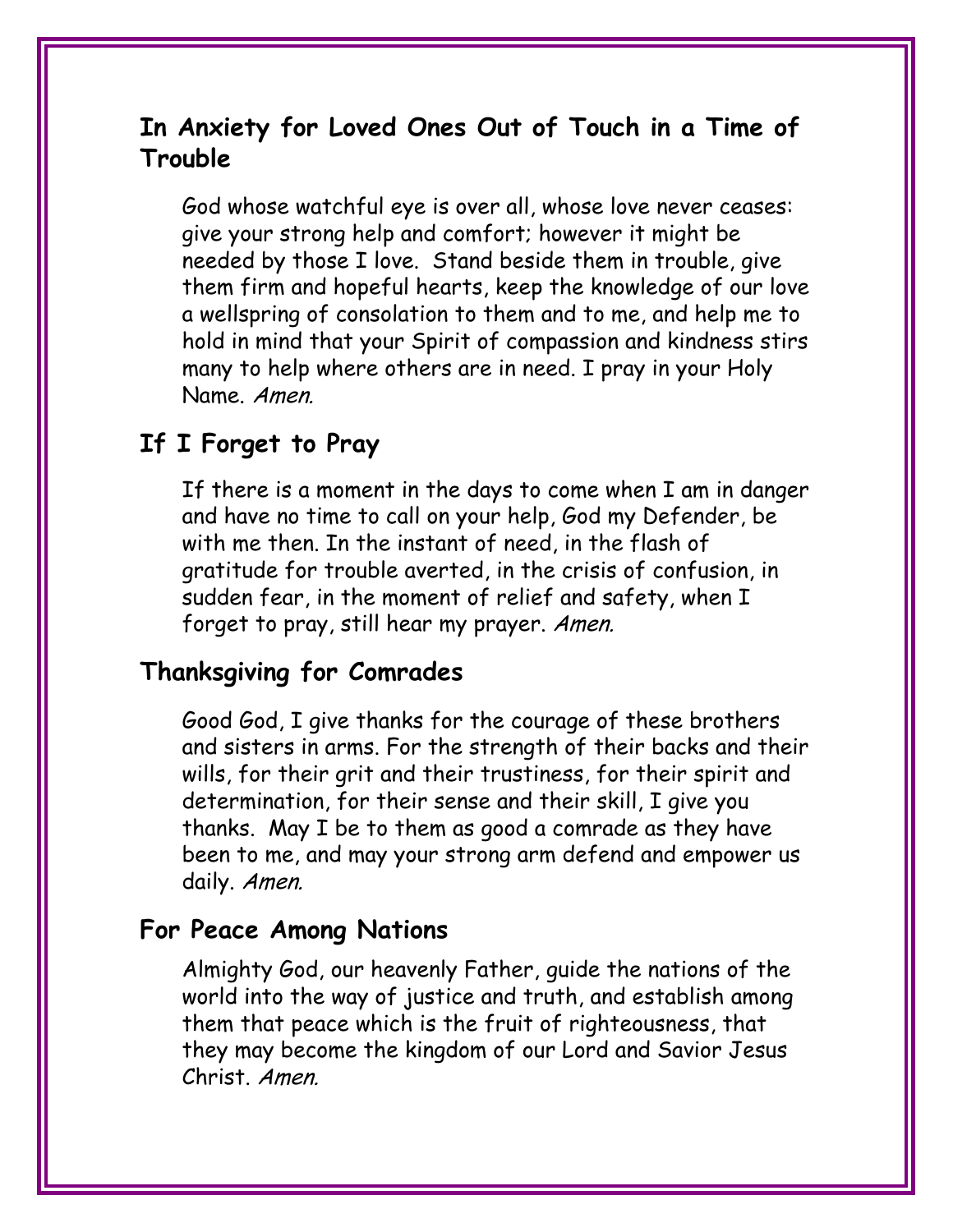#### **In Anxiety for Loved Ones Out of Touch in a Time of Trouble**

God whose watchful eye is over all, whose love never ceases: give your strong help and comfort; however it might be needed by those I love. Stand beside them in trouble, give them firm and hopeful hearts, keep the knowledge of our love a wellspring of consolation to them and to me, and help me to hold in mind that your Spirit of compassion and kindness stirs many to help where others are in need. I pray in your Holy Name. Amen.

#### **If I Forget to Pray**

If there is a moment in the days to come when I am in danger and have no time to call on your help, God my Defender, be with me then. In the instant of need, in the flash of gratitude for trouble averted, in the crisis of confusion, in sudden fear, in the moment of relief and safety, when I forget to pray, still hear my prayer. Amen.

#### **Thanksgiving for Comrades**

Good God, I give thanks for the courage of these brothers and sisters in arms. For the strength of their backs and their wills, for their grit and their trustiness, for their spirit and determination, for their sense and their skill, I give you thanks. May I be to them as good a comrade as they have been to me, and may your strong arm defend and empower us daily. Amen.

#### **For Peace Among Nations**

Almighty God, our heavenly Father, guide the nations of the world into the way of justice and truth, and establish among them that peace which is the fruit of righteousness, that they may become the kingdom of our Lord and Savior Jesus Christ. Amen.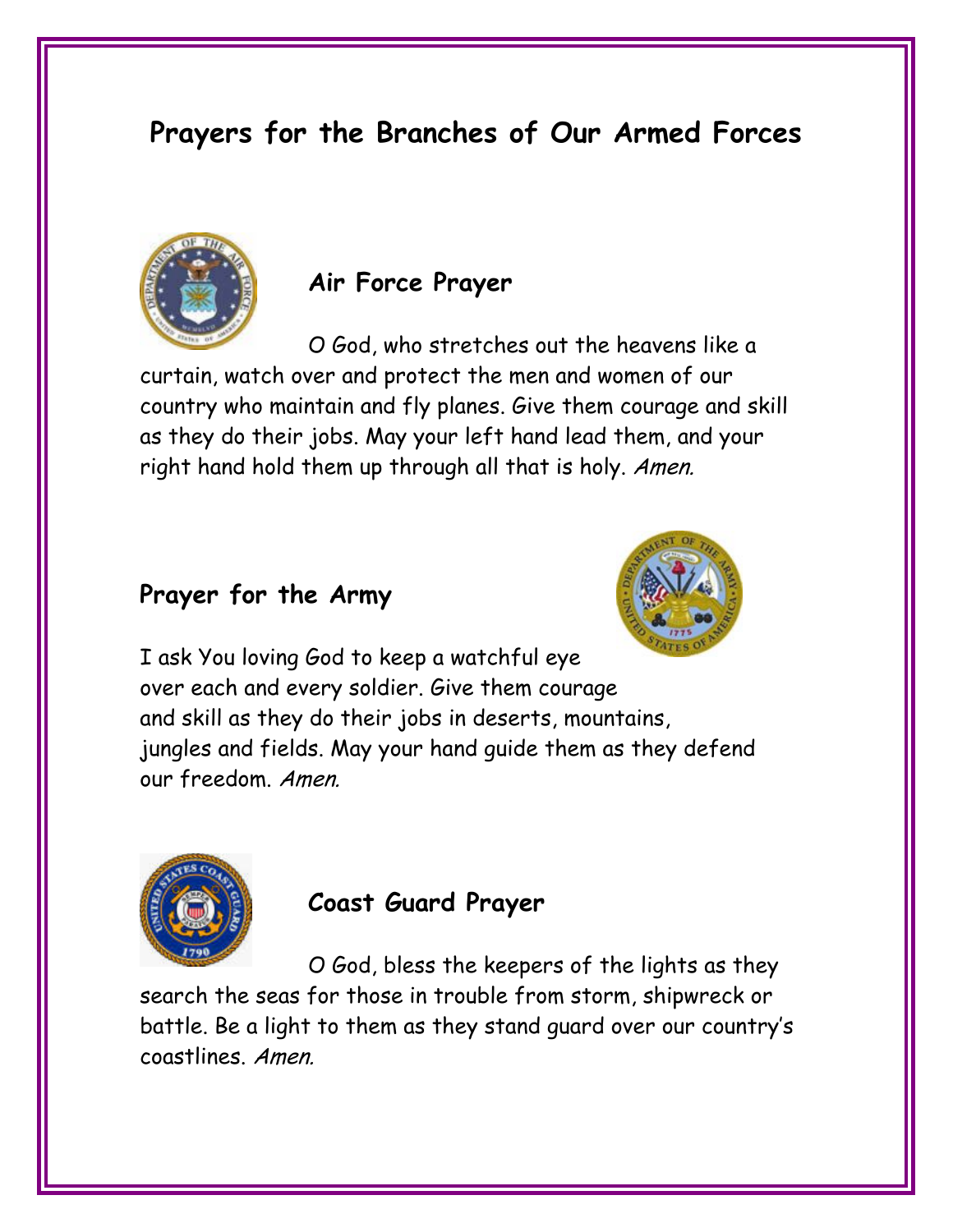# **Prayers for the Branches of Our Armed Forces**



#### **Air Force Prayer**

 O God, who stretches out the heavens like a curtain, watch over and protect the men and women of our country who maintain and fly planes. Give them courage and skill as they do their jobs. May your left hand lead them, and your right hand hold them up through all that is holy. Amen.

#### **Prayer for the Army**



I ask You loving God to keep a watchful eye over each and every soldier. Give them courage and skill as they do their jobs in deserts, mountains, jungles and fields. May your hand guide them as they defend our freedom. Amen.



#### **Coast Guard Prayer**

 O God, bless the keepers of the lights as they search the seas for those in trouble from storm, shipwreck or battle. Be a light to them as they stand guard over our country's coastlines. Amen.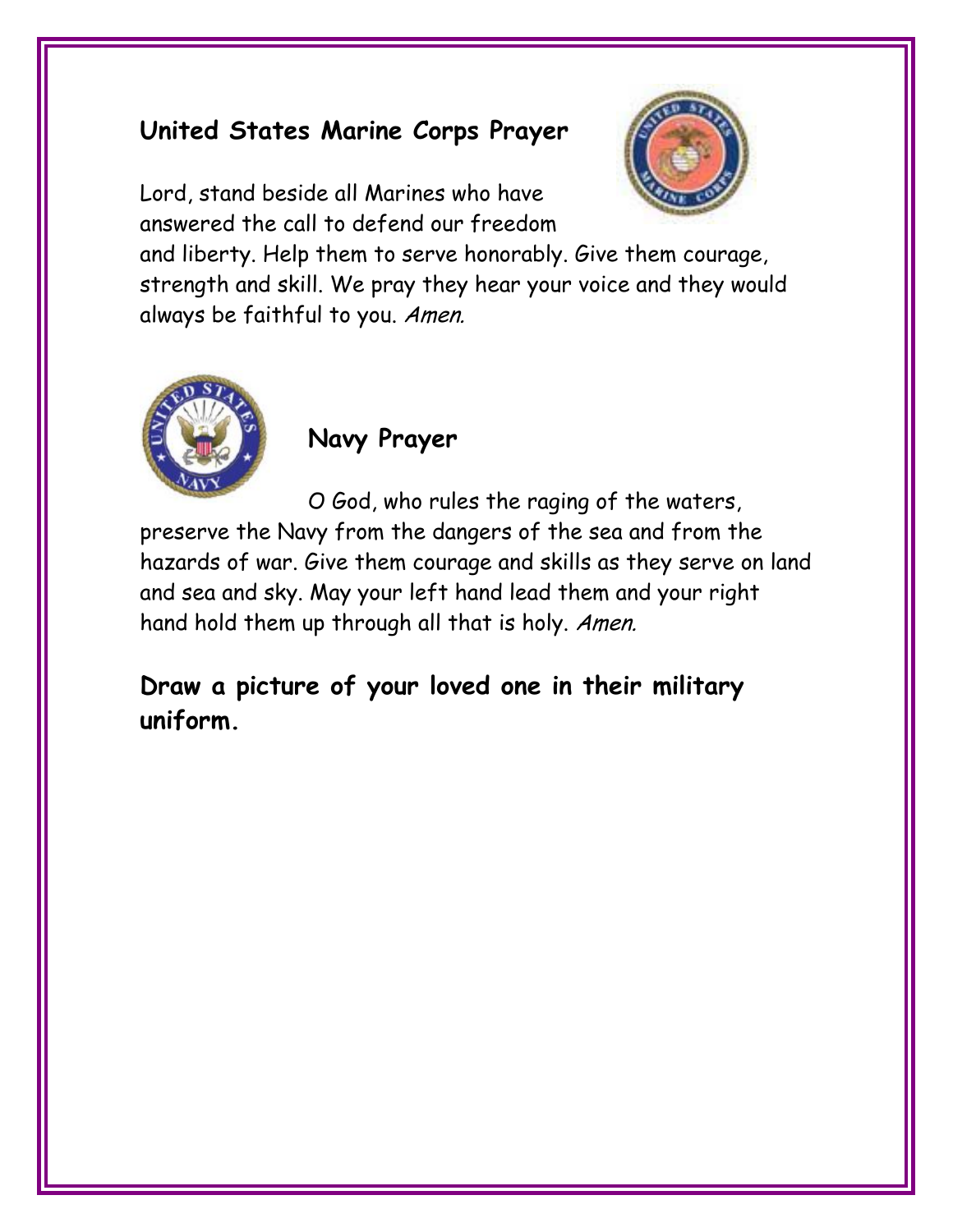# **United States Marine Corps Prayer**

Lord, stand beside all Marines who have answered the call to defend our freedom



and liberty. Help them to serve honorably. Give them courage, strength and skill. We pray they hear your voice and they would always be faithful to you. Amen.



#### **Navy Prayer**

 O God, who rules the raging of the waters, preserve the Navy from the dangers of the sea and from the hazards of war. Give them courage and skills as they serve on land and sea and sky. May your left hand lead them and your right hand hold them up through all that is holy. Amen.

**Draw a picture of your loved one in their military uniform.**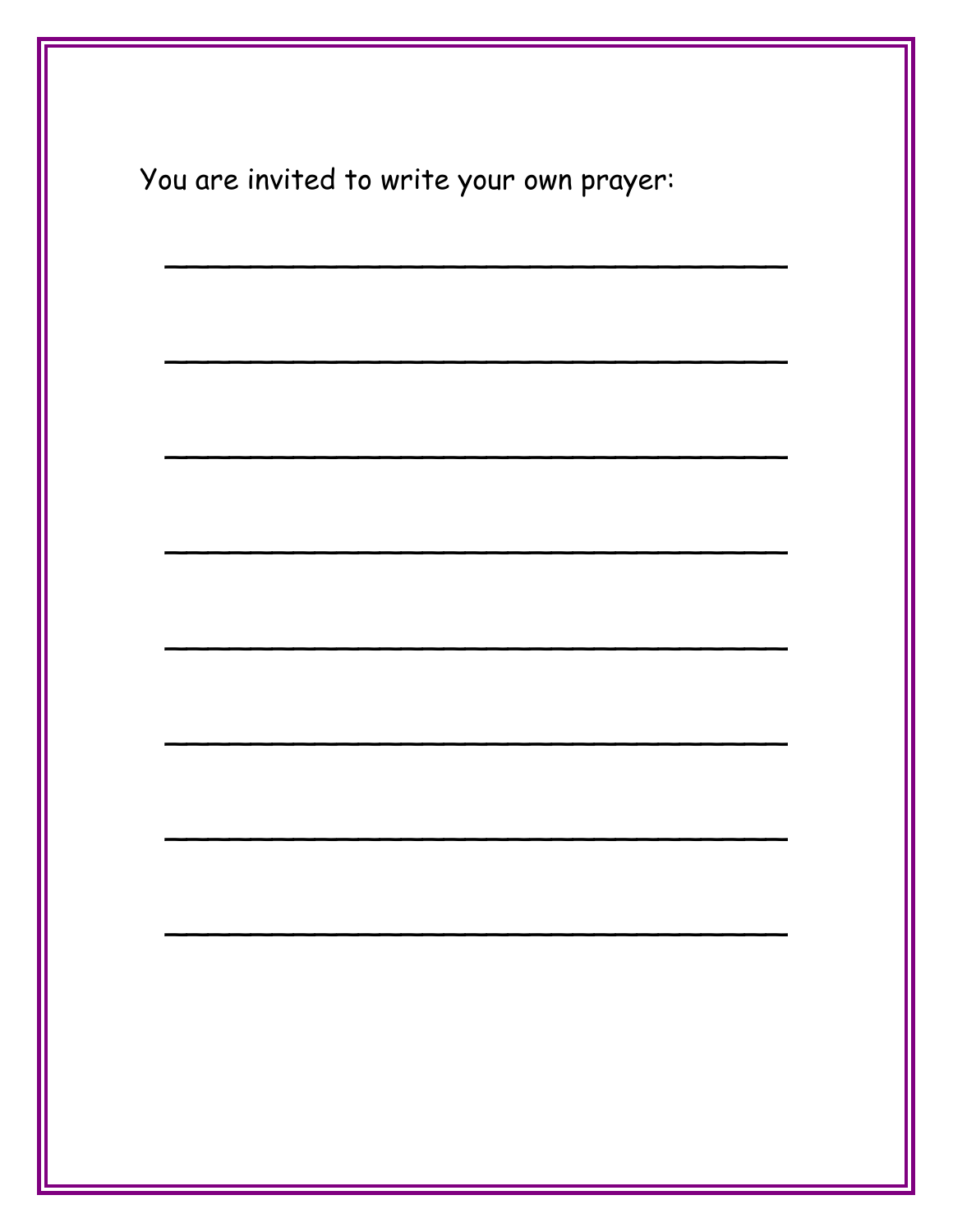| You are invited to write your own prayer: |  |
|-------------------------------------------|--|
|                                           |  |
|                                           |  |
|                                           |  |
|                                           |  |
|                                           |  |
|                                           |  |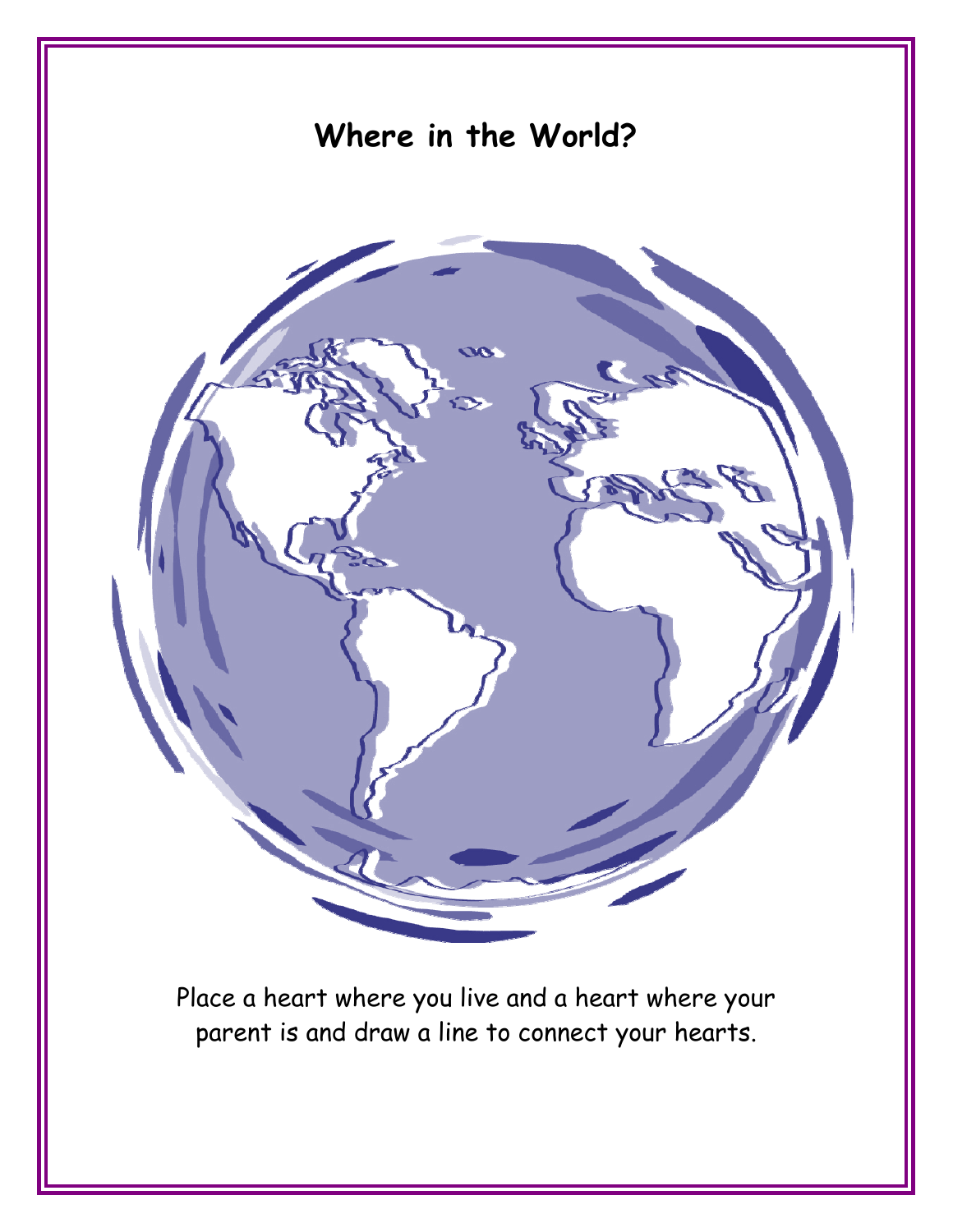